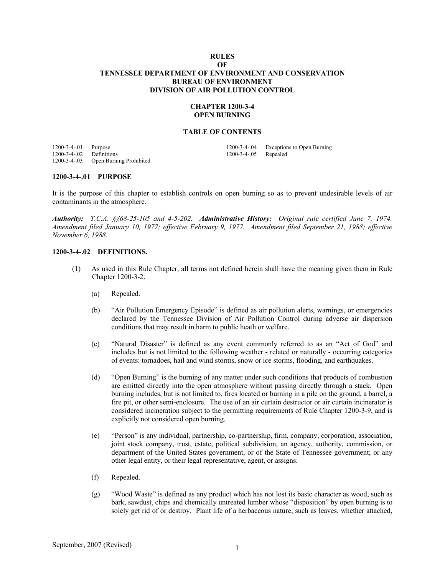## RULES OF TENNESSEE DEPARTMENT OF ENVIRONMENT AND CONSERVATION BUREAU OF ENVIRONMENT DIVISION OF AIR POLLUTION CONTROL

## CHAPTER 1200-3-4 OPEN BURNING

#### TABLE OF CONTENTS

1200-3-4-.03 Open Burning Prohibited

1200-3-4-.01 Purpose 1200-3-4-.04 Exceptions to Open Burning 1200-3-4-.02 Definitions 1200-3-4-.05 Repealed

#### 1200-3-4-.01 PURPOSE

It is the purpose of this chapter to establish controls on open burning so as to prevent undesirable levels of air contaminants in the atmosphere.

Authority: T.C.A. §§68-25-105 and 4-5-202. Administrative History: Original rule certified June 7, 1974. Amendment filed January 10, 1977; effective February 9, 1977. Amendment filed September 21, 1988; effective November 6, 1988.

## 1200-3-4-.02 DEFINITIONS.

- (1) As used in this Rule Chapter, all terms not defined herein shall have the meaning given them in Rule Chapter 1200-3-2.
	- (a) Repealed.
	- (b) "Air Pollution Emergency Episode" is defined as air pollution alerts, warnings, or emergencies declared by the Tennessee Division of Air Pollution Control during adverse air dispersion conditions that may result in harm to public heath or welfare.
	- (c) "Natural Disaster" is defined as any event commonly referred to as an "Act of God" and includes but is not limited to the following weather - related or naturally - occurring categories of events: tornadoes, hail and wind storms, snow or ice storms, flooding, and earthquakes.
	- (d) "Open Burning" is the burning of any matter under such conditions that products of combustion are emitted directly into the open atmosphere without passing directly through a stack. Open burning includes, but is not limited to, fires located or burning in a pile on the ground, a barrel, a fire pit, or other semi-enclosure. The use of an air curtain destructor or air curtain incinerator is considered incineration subject to the permitting requirements of Rule Chapter 1200-3-9, and is explicitly not considered open burning.
	- (e) "Person" is any individual, partnership, co-partnership, firm, company, corporation, association, joint stock company, trust, estate, political subdivision, an agency, authority, commission, or department of the United States government, or of the State of Tennessee government; or any other legal entity, or their legal representative, agent, or assigns.
	- (f) Repealed.
	- (g) "Wood Waste" is defined as any product which has not lost its basic character as wood, such as bark, sawdust, chips and chemically untreated lumber whose "disposition" by open burning is to solely get rid of or destroy. Plant life of a herbaceous nature, such as leaves, whether attached,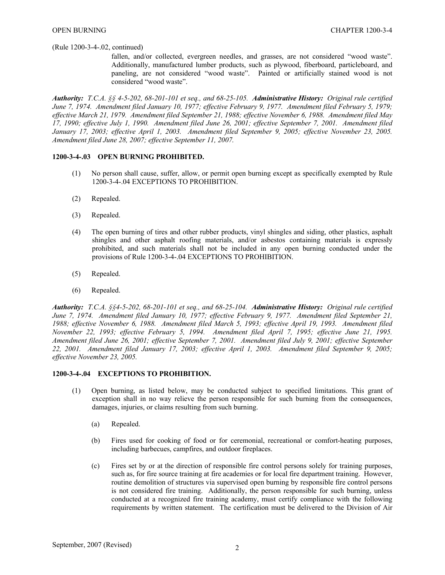(Rule 1200-3-4-.02, continued)

fallen, and/or collected, evergreen needles, and grasses, are not considered "wood waste". Additionally, manufactured lumber products, such as plywood, fiberboard, particleboard, and paneling, are not considered "wood waste". Painted or artificially stained wood is not considered "wood waste".

Authority: T.C.A.  $\S$  4-5-202, 68-201-101 et seq., and 68-25-105. Administrative History: Original rule certified June 7, 1974. Amendment filed January 10, 1977; effective February 9, 1977. Amendment filed February 5, 1979; effective March 21, 1979. Amendment filed September 21, 1988; effective November 6, 1988. Amendment filed May 17, 1990; effective July 1, 1990. Amendment filed June 26, 2001; effective September 7, 2001. Amendment filed January 17, 2003; effective April 1, 2003. Amendment filed September 9, 2005; effective November 23, 2005. Amendment filed June 28, 2007; effective September 11, 2007.

### 1200-3-4-.03 OPEN BURNING PROHIBITED.

- (1) No person shall cause, suffer, allow, or permit open burning except as specifically exempted by Rule 1200-3-4-.04 EXCEPTIONS TO PROHIBITION.
- (2) Repealed.
- (3) Repealed.
- (4) The open burning of tires and other rubber products, vinyl shingles and siding, other plastics, asphalt shingles and other asphalt roofing materials, and/or asbestos containing materials is expressly prohibited, and such materials shall not be included in any open burning conducted under the provisions of Rule 1200-3-4-.04 EXCEPTIONS TO PROHIBITION.
- (5) Repealed.
- (6) Repealed.

Authority: T.C.A. §§4-5-202, 68-201-101 et seq., and 68-25-104. Administrative History: Original rule certified June 7, 1974. Amendment filed January 10, 1977; effective February 9, 1977. Amendment filed September 21, 1988; effective November 6, 1988. Amendment filed March 5, 1993; effective April 19, 1993. Amendment filed November 22, 1993; effective February 5, 1994. Amendment filed April 7, 1995; effective June 21, 1995. Amendment filed June 26, 2001; effective September 7, 2001. Amendment filed July 9, 2001; effective September 22, 2001. Amendment filed January 17, 2003; effective April 1, 2003. Amendment filed September 9, 2005; effective November 23, 2005.

#### 1200-3-4-.04 EXCEPTIONS TO PROHIBITION.

- (1) Open burning, as listed below, may be conducted subject to specified limitations. This grant of exception shall in no way relieve the person responsible for such burning from the consequences, damages, injuries, or claims resulting from such burning.
	- (a) Repealed.
	- (b) Fires used for cooking of food or for ceremonial, recreational or comfort-heating purposes, including barbecues, campfires, and outdoor fireplaces.
	- (c) Fires set by or at the direction of responsible fire control persons solely for training purposes, such as, for fire source training at fire academies or for local fire department training. However, routine demolition of structures via supervised open burning by responsible fire control persons is not considered fire training. Additionally, the person responsible for such burning, unless conducted at a recognized fire training academy, must certify compliance with the following requirements by written statement. The certification must be delivered to the Division of Air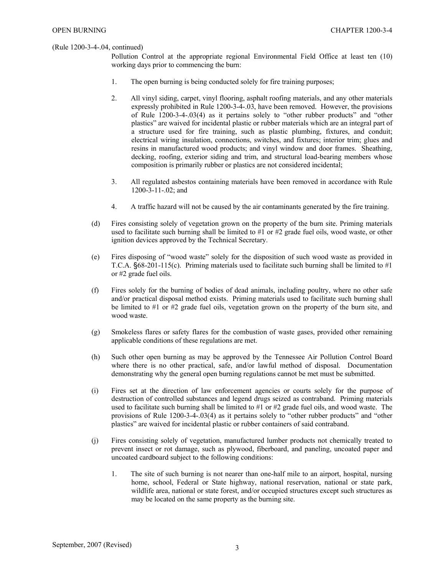(Rule 1200-3-4-.04, continued)

Pollution Control at the appropriate regional Environmental Field Office at least ten (10) working days prior to commencing the burn:

- 1. The open burning is being conducted solely for fire training purposes;
- 2. All vinyl siding, carpet, vinyl flooring, asphalt roofing materials, and any other materials expressly prohibited in Rule 1200-3-4-.03, have been removed. However, the provisions of Rule 1200-3-4-.03(4) as it pertains solely to "other rubber products" and "other plastics" are waived for incidental plastic or rubber materials which are an integral part of a structure used for fire training, such as plastic plumbing, fixtures, and conduit; electrical wiring insulation, connections, switches, and fixtures; interior trim; glues and resins in manufactured wood products; and vinyl window and door frames. Sheathing, decking, roofing, exterior siding and trim, and structural load-bearing members whose composition is primarily rubber or plastics are not considered incidental;
- 3. All regulated asbestos containing materials have been removed in accordance with Rule 1200-3-11-.02; and
- 4. A traffic hazard will not be caused by the air contaminants generated by the fire training.
- (d) Fires consisting solely of vegetation grown on the property of the burn site. Priming materials used to facilitate such burning shall be limited to #1 or #2 grade fuel oils, wood waste, or other ignition devices approved by the Technical Secretary.
- (e) Fires disposing of "wood waste" solely for the disposition of such wood waste as provided in T.C.A.  $\S68-201-115(c)$ . Priming materials used to facilitate such burning shall be limited to #1 or #2 grade fuel oils.
- (f) Fires solely for the burning of bodies of dead animals, including poultry, where no other safe and/or practical disposal method exists. Priming materials used to facilitate such burning shall be limited to #1 or #2 grade fuel oils, vegetation grown on the property of the burn site, and wood waste.
- (g) Smokeless flares or safety flares for the combustion of waste gases, provided other remaining applicable conditions of these regulations are met.
- (h) Such other open burning as may be approved by the Tennessee Air Pollution Control Board where there is no other practical, safe, and/or lawful method of disposal. Documentation demonstrating why the general open burning regulations cannot be met must be submitted.
- (i) Fires set at the direction of law enforcement agencies or courts solely for the purpose of destruction of controlled substances and legend drugs seized as contraband. Priming materials used to facilitate such burning shall be limited to #1 or #2 grade fuel oils, and wood waste. The provisions of Rule 1200-3-4-.03(4) as it pertains solely to "other rubber products" and "other plastics" are waived for incidental plastic or rubber containers of said contraband.
- (j) Fires consisting solely of vegetation, manufactured lumber products not chemically treated to prevent insect or rot damage, such as plywood, fiberboard, and paneling, uncoated paper and uncoated cardboard subject to the following conditions:
	- 1. The site of such burning is not nearer than one-half mile to an airport, hospital, nursing home, school, Federal or State highway, national reservation, national or state park, wildlife area, national or state forest, and/or occupied structures except such structures as may be located on the same property as the burning site.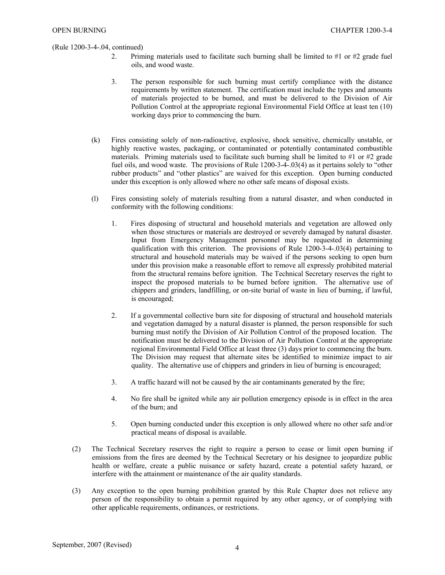(Rule 1200-3-4-.04, continued)

- 2. Priming materials used to facilitate such burning shall be limited to  $#1$  or  $#2$  grade fuel oils, and wood waste.
- 3. The person responsible for such burning must certify compliance with the distance requirements by written statement. The certification must include the types and amounts of materials projected to be burned, and must be delivered to the Division of Air Pollution Control at the appropriate regional Environmental Field Office at least ten (10) working days prior to commencing the burn.
- (k) Fires consisting solely of non-radioactive, explosive, shock sensitive, chemically unstable, or highly reactive wastes, packaging, or contaminated or potentially contaminated combustible materials. Priming materials used to facilitate such burning shall be limited to #1 or #2 grade fuel oils, and wood waste. The provisions of Rule 1200-3-4-.03(4) as it pertains solely to "other rubber products" and "other plastics" are waived for this exception. Open burning conducted under this exception is only allowed where no other safe means of disposal exists.
- (l) Fires consisting solely of materials resulting from a natural disaster, and when conducted in conformity with the following conditions:
	- 1. Fires disposing of structural and household materials and vegetation are allowed only when those structures or materials are destroyed or severely damaged by natural disaster. Input from Emergency Management personnel may be requested in determining qualification with this criterion. The provisions of Rule 1200-3-4-.03(4) pertaining to structural and household materials may be waived if the persons seeking to open burn under this provision make a reasonable effort to remove all expressly prohibited material from the structural remains before ignition. The Technical Secretary reserves the right to inspect the proposed materials to be burned before ignition. The alternative use of chippers and grinders, landfilling, or on-site burial of waste in lieu of burning, if lawful, is encouraged;
	- 2. If a governmental collective burn site for disposing of structural and household materials and vegetation damaged by a natural disaster is planned, the person responsible for such burning must notify the Division of Air Pollution Control of the proposed location. The notification must be delivered to the Division of Air Pollution Control at the appropriate regional Environmental Field Office at least three (3) days prior to commencing the burn. The Division may request that alternate sites be identified to minimize impact to air quality. The alternative use of chippers and grinders in lieu of burning is encouraged;
	- 3. A traffic hazard will not be caused by the air contaminants generated by the fire;
	- 4. No fire shall be ignited while any air pollution emergency episode is in effect in the area of the burn; and
	- 5. Open burning conducted under this exception is only allowed where no other safe and/or practical means of disposal is available.
- (2) The Technical Secretary reserves the right to require a person to cease or limit open burning if emissions from the fires are deemed by the Technical Secretary or his designee to jeopardize public health or welfare, create a public nuisance or safety hazard, create a potential safety hazard, or interfere with the attainment or maintenance of the air quality standards.
- (3) Any exception to the open burning prohibition granted by this Rule Chapter does not relieve any person of the responsibility to obtain a permit required by any other agency, or of complying with other applicable requirements, ordinances, or restrictions.